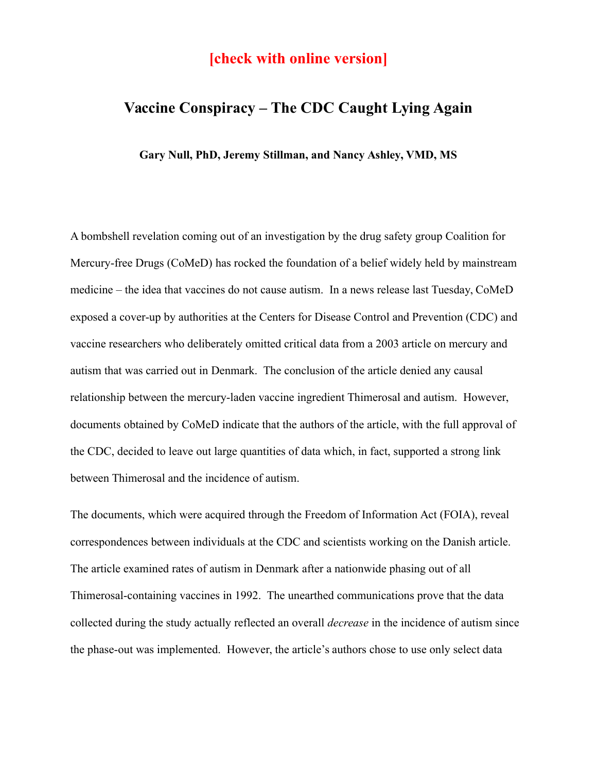## **[check with online version]**

# **Vaccine Conspiracy – The CDC Caught Lying Again**

**Gary Null, PhD, Jeremy Stillman, and Nancy Ashley, VMD, MS**

A bombshell revelation coming out of an investigation by the drug safety group Coalition for Mercury-free Drugs (CoMeD) has rocked the foundation of a belief widely held by mainstream medicine – the idea that vaccines do not cause autism. In a news release last Tuesday, CoMeD exposed a cover-up by authorities at the Centers for Disease Control and Prevention (CDC) and vaccine researchers who deliberately omitted critical data from a 2003 article on mercury and autism that was carried out in Denmark. The conclusion of the article denied any causal relationship between the mercury-laden vaccine ingredient Thimerosal and autism. However, documents obtained by CoMeD indicate that the authors of the article, with the full approval of the CDC, decided to leave out large quantities of data which, in fact, supported a strong link between Thimerosal and the incidence of autism.

The documents, which were acquired through the Freedom of Information Act (FOIA), reveal correspondences between individuals at the CDC and scientists working on the Danish article. The article examined rates of autism in Denmark after a nationwide phasing out of all Thimerosal-containing vaccines in 1992. The unearthed communications prove that the data collected during the study actually reflected an overall *decrease* in the incidence of autism since the phase-out was implemented. However, the article's authors chose to use only select data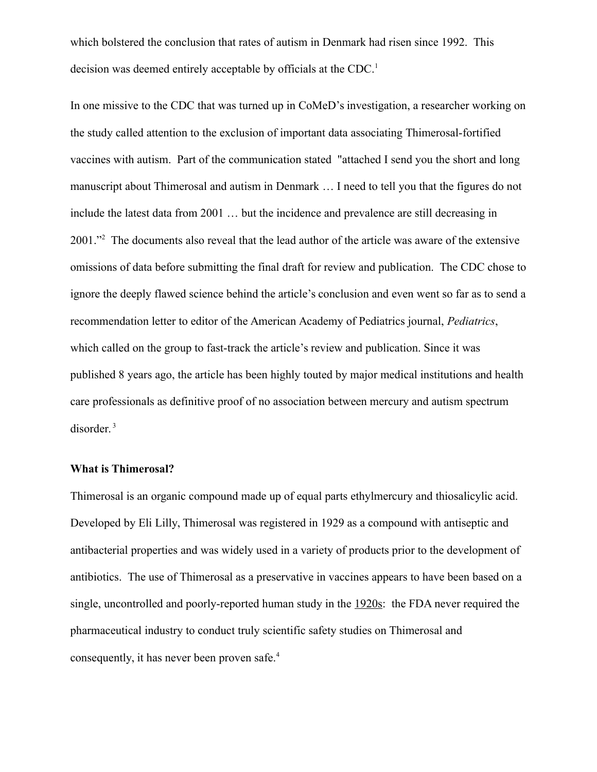which bolstered the conclusion that rates of autism in Denmark had risen since 1992. This decision was deemed entirely acceptable by officials at the CDC.<sup>1</sup>

In one missive to the CDC that was turned up in CoMeD's investigation, a researcher working on the study called attention to the exclusion of important data associating Thimerosal-fortified vaccines with autism. Part of the communication stated "attached I send you the short and long manuscript about Thimerosal and autism in Denmark … I need to tell you that the figures do not include the latest data from 2001 … but the incidence and prevalence are still decreasing in 2001."<sup>2</sup> The documents also reveal that the lead author of the article was aware of the extensive omissions of data before submitting the final draft for review and publication. The CDC chose to ignore the deeply flawed science behind the article's conclusion and even went so far as to send a recommendation letter to editor of the American Academy of Pediatrics journal, *Pediatrics*, which called on the group to fast-track the article's review and publication. Since it was published 8 years ago, the article has been highly touted by major medical institutions and health care professionals as definitive proof of no association between mercury and autism spectrum disorder.<sup>3</sup>

### **What is Thimerosal?**

Thimerosal is an organic compound made up of equal parts ethylmercury and thiosalicylic acid. Developed by Eli Lilly, Thimerosal was registered in 1929 as a compound with antiseptic and antibacterial properties and was widely used in a variety of products prior to the development of antibiotics. The use of Thimerosal as a preservative in vaccines appears to have been based on a single, uncontrolled and poorly-reported human study in the 1920s: the FDA never required the pharmaceutical industry to conduct truly scientific safety studies on Thimerosal and consequently, it has never been proven safe.4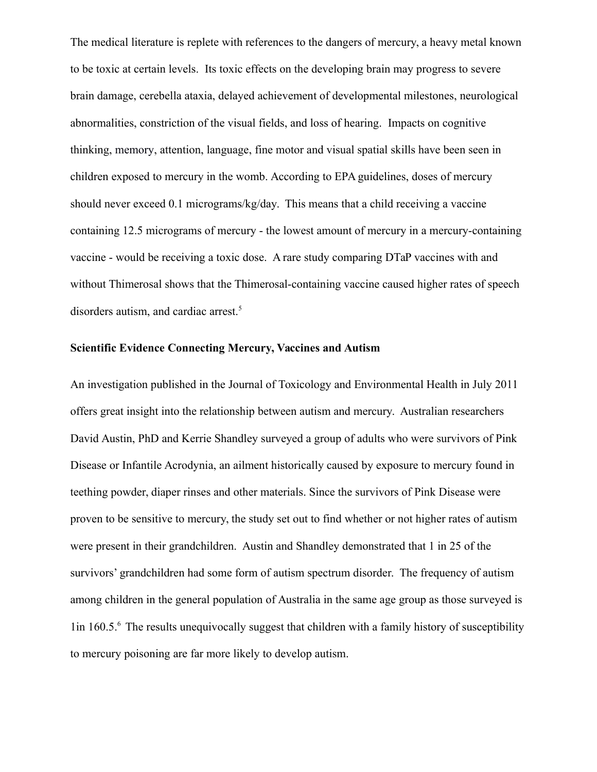The medical literature is replete with references to the dangers of mercury, a heavy metal known to be toxic at certain levels. Its toxic effects on the developing brain may progress to severe brain damage, cerebella ataxia, delayed achievement of developmental milestones, neurological abnormalities, constriction of the visual fields, and loss of hearing. Impacts on [cognitive](http://www.medicinenet.com/script/main/art.asp?articlekey=15297) thinking, [memory,](http://www.medicinenet.com/script/main/art.asp?articlekey=11642) attention, language, fine motor and visual spatial skills have been seen in children exposed to mercury in the womb. According to EPA guidelines, doses of mercury should never exceed 0.1 micrograms/kg/day. This means that a child receiving a vaccine containing 12.5 micrograms of mercury - the lowest amount of mercury in a mercury-containing vaccine - would be receiving a toxic dose. A rare study comparing DTaP vaccines with and without Thimerosal shows that the Thimerosal-containing vaccine caused higher rates of speech disorders autism, and cardiac arrest.<sup>5</sup>

## **Scientific Evidence Connecting Mercury, Vaccines and Autism**

An investigation published in the Journal of Toxicology and Environmental Health in July 2011 offers great insight into the relationship between autism and mercury. Australian researchers David Austin, PhD and Kerrie Shandley surveyed a group of adults who were survivors of Pink Disease or Infantile Acrodynia, an ailment historically caused by exposure to mercury found in teething powder, diaper rinses and other materials. Since the survivors of Pink Disease were proven to be sensitive to mercury, the study set out to find whether or not higher rates of autism were present in their grandchildren. Austin and Shandley demonstrated that 1 in 25 of the survivors' grandchildren had some form of autism spectrum disorder. The frequency of autism among children in the general population of Australia in the same age group as those surveyed is 1in 160.5.<sup>6</sup> The results unequivocally suggest that children with a family history of susceptibility to mercury poisoning are far more likely to develop autism.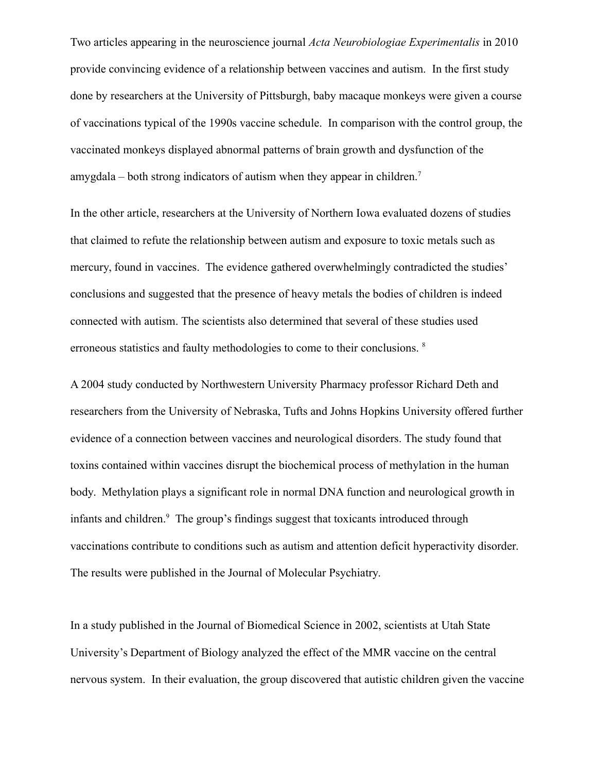Two articles appearing in the neuroscience journal *Acta Neurobiologiae Experimentalis* in 2010 provide convincing evidence of a relationship between vaccines and autism. In the first study done by researchers at the University of Pittsburgh, baby macaque monkeys were given a course of vaccinations typical of the 1990s vaccine schedule. In comparison with the control group, the vaccinated monkeys displayed abnormal patterns of brain growth and dysfunction of the amygdala – both strong indicators of autism when they appear in children.<sup>7</sup>

In the other article, researchers at the University of Northern Iowa evaluated dozens of studies that claimed to refute the relationship between autism and exposure to toxic metals such as mercury, found in vaccines. The evidence gathered overwhelmingly contradicted the studies' conclusions and suggested that the presence of heavy metals the bodies of children is indeed connected with autism. The scientists also determined that several of these studies used erroneous statistics and faulty methodologies to come to their conclusions. <sup>8</sup>

A 2004 study conducted by Northwestern University Pharmacy professor Richard Deth and researchers from the University of Nebraska, Tufts and Johns Hopkins University offered further evidence of a connection between vaccines and neurological disorders. The study found that toxins contained within vaccines disrupt the biochemical process of methylation in the human body. Methylation plays a significant role in normal DNA function and neurological growth in infants and children.<sup>9</sup> The group's findings suggest that toxicants introduced through vaccinations contribute to conditions such as autism and attention deficit hyperactivity disorder. The results were published in the Journal of Molecular Psychiatry.

In a study published in the Journal of Biomedical Science in 2002, scientists at Utah State University's Department of Biology analyzed the effect of the MMR vaccine on the central nervous system. In their evaluation, the group discovered that autistic children given the vaccine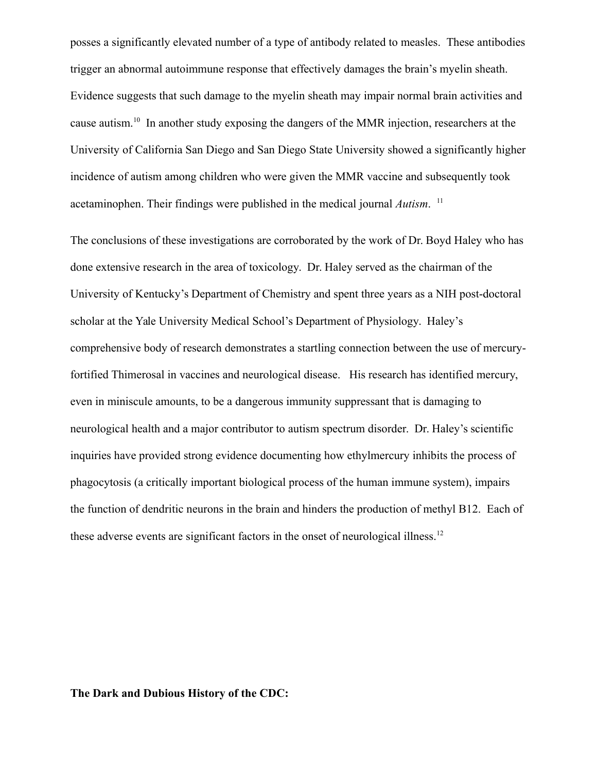posses a significantly elevated number of a type of antibody related to measles. These antibodies trigger an abnormal autoimmune response that effectively damages the brain's myelin sheath. Evidence suggests that such damage to the myelin sheath may impair normal brain activities and cause autism.<sup>10</sup> In another study exposing the dangers of the MMR injection, researchers at the University of California San Diego and San Diego State University showed a significantly higher incidence of autism among children who were given the MMR vaccine and subsequently took acetaminophen. Their findings were published in the medical journal *Autism*. 11

The conclusions of these investigations are corroborated by the work of Dr. Boyd Haley who has done extensive research in the area of toxicology. Dr. Haley served as the chairman of the University of Kentucky's Department of Chemistry and spent three years as a NIH post-doctoral scholar at the Yale University Medical School's Department of Physiology. Haley's comprehensive body of research demonstrates a startling connection between the use of mercuryfortified Thimerosal in vaccines and neurological disease. His research has identified mercury, even in miniscule amounts, to be a dangerous immunity suppressant that is damaging to neurological health and a major contributor to autism spectrum disorder. Dr. Haley's scientific inquiries have provided strong evidence documenting how ethylmercury inhibits the process of phagocytosis (a critically important biological process of the human immune system), impairs the function of dendritic neurons in the brain and hinders the production of methyl B12. Each of these adverse events are significant factors in the onset of neurological illness.<sup>12</sup>

#### **The Dark and Dubious History of the CDC:**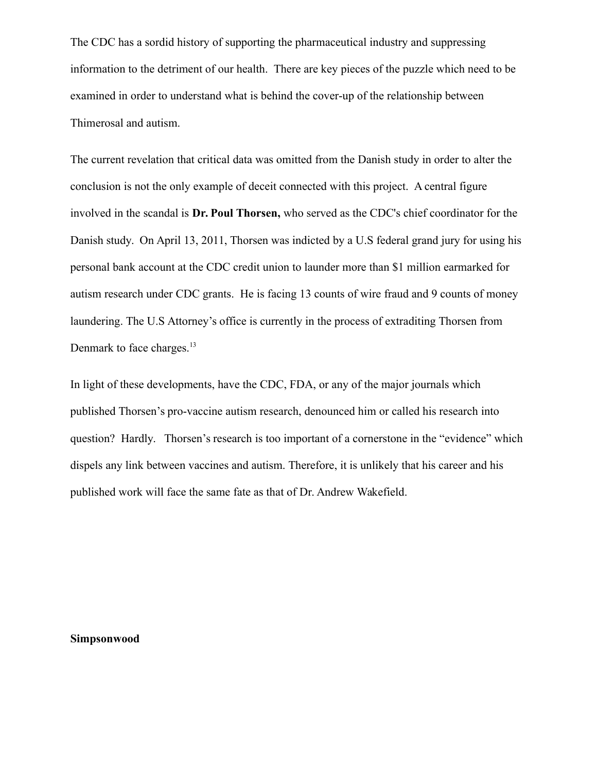The CDC has a sordid history of supporting the pharmaceutical industry and suppressing information to the detriment of our health. There are key pieces of the puzzle which need to be examined in order to understand what is behind the cover-up of the relationship between Thimerosal and autism.

The current revelation that critical data was omitted from the Danish study in order to alter the conclusion is not the only example of deceit connected with this project. A central figure involved in the scandal is **Dr. Poul Thorsen,** who served as the CDC's chief coordinator for the Danish study. On April 13, 2011, Thorsen was indicted by a U.S federal grand jury for using his personal bank account at the CDC credit union to launder more than \$1 million earmarked for autism research under CDC grants. He is facing 13 counts of wire fraud and 9 counts of money laundering. The U.S Attorney's office is currently in the process of extraditing Thorsen from Denmark to face charges.<sup>13</sup>

In light of these developments, have the CDC, FDA, or any of the major journals which published Thorsen's pro-vaccine autism research, denounced him or called his research into question? Hardly. Thorsen's research is too important of a cornerstone in the "evidence" which dispels any link between vaccines and autism. Therefore, it is unlikely that his career and his published work will face the same fate as that of Dr. Andrew Wakefield.

**Simpsonwood**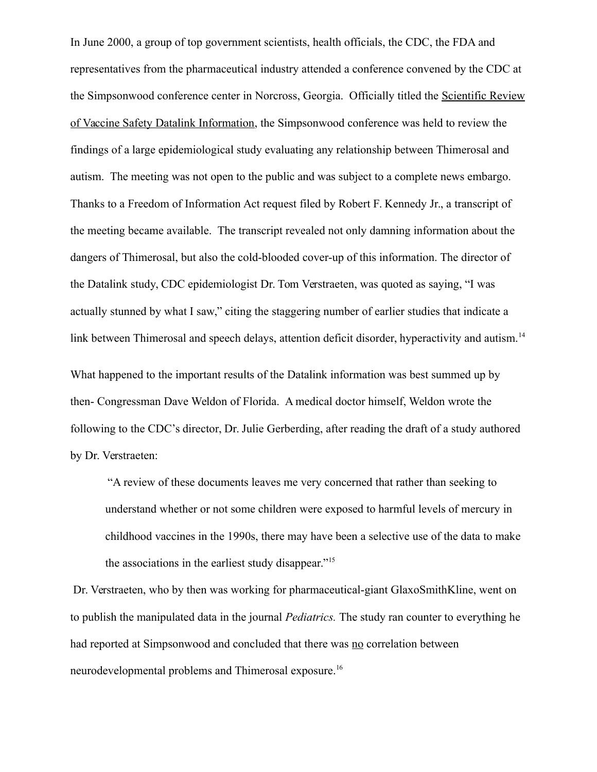In June 2000, a group of top government scientists, health officials, the CDC, the FDA and representatives from the pharmaceutical industry attended a conference convened by the CDC at the Simpsonwood conference center in Norcross, Georgia. Officially titled the Scientific Review of Vaccine Safety Datalink Information, the Simpsonwood conference was held to review the findings of a large epidemiological study evaluating any relationship between Thimerosal and autism. The meeting was not open to the public and was subject to a complete news embargo. Thanks to a Freedom of Information Act request filed by Robert F. Kennedy Jr., a transcript of the meeting became available. The transcript revealed not only damning information about the dangers of Thimerosal, but also the cold-blooded cover-up of this information. The director of the Datalink study, CDC epidemiologist Dr. Tom Verstraeten, was quoted as saying, "I was actually stunned by what I saw," citing the staggering number of earlier studies that indicate a link between Thimerosal and speech delays, attention deficit disorder, hyperactivity and autism.<sup>14</sup>

What happened to the important results of the Datalink information was best summed up by then- Congressman Dave Weldon of Florida. A medical doctor himself, Weldon wrote the following to the CDC's director, Dr. Julie Gerberding, after reading the draft of a study authored by Dr. Verstraeten:

"A review of these documents leaves me very concerned that rather than seeking to understand whether or not some children were exposed to harmful levels of mercury in childhood vaccines in the 1990s, there may have been a selective use of the data to make the associations in the earliest study disappear."<sup>15</sup>

 Dr. Verstraeten, who by then was working for pharmaceutical-giant GlaxoSmithKline, went on to publish the manipulated data in the journal *Pediatrics.* The study ran counter to everything he had reported at Simpsonwood and concluded that there was no correlation between neurodevelopmental problems and Thimerosal exposure.16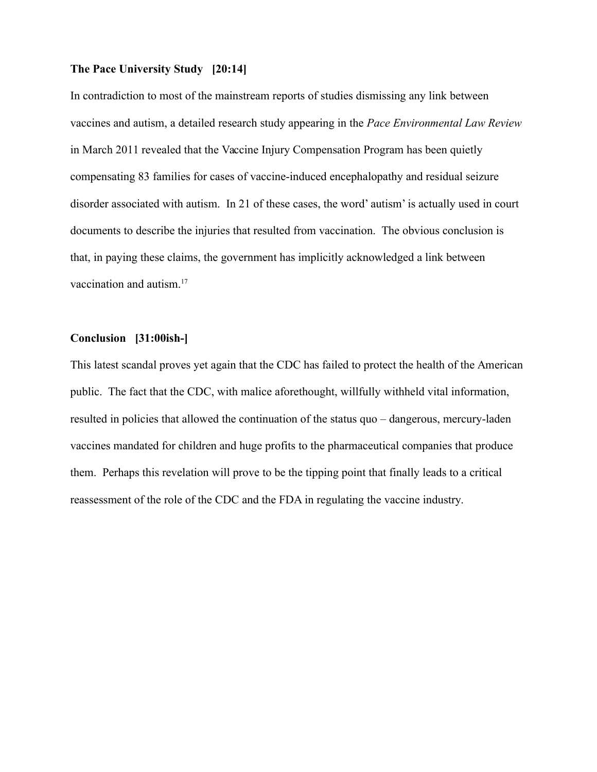#### **The Pace University Study [20:14]**

In contradiction to most of the mainstream reports of studies dismissing any link between vaccines and autism, a detailed research study appearing in the *Pace Environmental Law Review* in March 2011 revealed that the Vaccine Injury Compensation Program has been quietly compensating 83 families for cases of vaccine-induced encephalopathy and residual seizure disorder associated with autism. In 21 of these cases, the word' autism' is actually used in court documents to describe the injuries that resulted from vaccination. The obvious conclusion is that, in paying these claims, the government has implicitly acknowledged a link between vaccination and autism.<sup>17</sup>

## **Conclusion [31:00ish-]**

This latest scandal proves yet again that the CDC has failed to protect the health of the American public. The fact that the CDC, with malice aforethought, willfully withheld vital information, resulted in policies that allowed the continuation of the status quo – dangerous, mercury-laden vaccines mandated for children and huge profits to the pharmaceutical companies that produce them. Perhaps this revelation will prove to be the tipping point that finally leads to a critical reassessment of the role of the CDC and the FDA in regulating the vaccine industry.